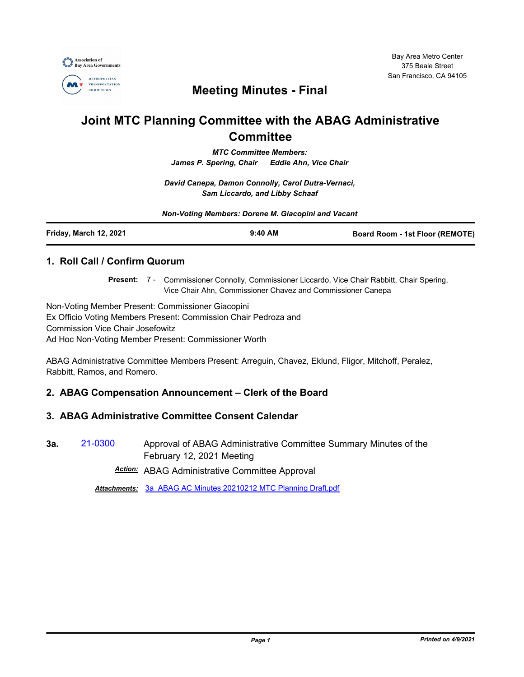

## **Meeting Minutes - Final**

# **Joint MTC Planning Committee with the ABAG Administrative Committee**

*MTC Committee Members: James P. Spering, Chair Eddie Ahn, Vice Chair*

*David Canepa, Damon Connolly, Carol Dutra-Vernaci, Sam Liccardo, and Libby Schaaf*

| Non-Voting Members: Dorene M. Giacopini and Vacant |           |                                 |
|----------------------------------------------------|-----------|---------------------------------|
| Friday, March 12, 2021                             | $9:40$ AM | Board Room - 1st Floor (REMOTE) |

## **1. Roll Call / Confirm Quorum**

Present: 7 - Commissioner Connolly, Commissioner Liccardo, Vice Chair Rabbitt, Chair Spering, Vice Chair Ahn, Commissioner Chavez and Commissioner Canepa

Non-Voting Member Present: Commissioner Giacopini Ex Officio Voting Members Present: Commission Chair Pedroza and Commission Vice Chair Josefowitz Ad Hoc Non-Voting Member Present: Commissioner Worth

ABAG Administrative Committee Members Present: Arreguin, Chavez, Eklund, Fligor, Mitchoff, Peralez, Rabbitt, Ramos, and Romero.

### **2. ABAG Compensation Announcement – Clerk of the Board**

### **3. ABAG Administrative Committee Consent Calendar**

**3a.** [21-0300](http://mtc.legistar.com/gateway.aspx?m=l&id=/matter.aspx?key=21893) Approval of ABAG Administrative Committee Summary Minutes of the February 12, 2021 Meeting

*Action:* ABAG Administrative Committee Approval

*Attachments:* [3a\\_ABAG AC Minutes 20210212 MTC Planning Draft.pdf](http://mtc.legistar.com/gateway.aspx?M=F&ID=473ac5ef-8442-4efc-890f-32ba7aad757f.pdf)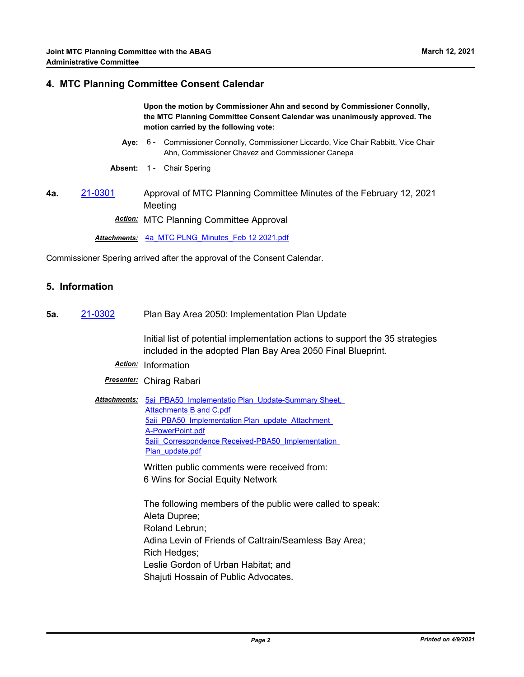#### **4. MTC Planning Committee Consent Calendar**

**Upon the motion by Commissioner Ahn and second by Commissioner Connolly, the MTC Planning Committee Consent Calendar was unanimously approved. The motion carried by the following vote:**

- **Aye:** Commissioner Connolly, Commissioner Liccardo, Vice Chair Rabbitt, Vice Chair Ahn, Commissioner Chavez and Commissioner Canepa Aye: 6 -
- **Absent:** 1 Chair Spering
- **4a.** [21-0301](http://mtc.legistar.com/gateway.aspx?m=l&id=/matter.aspx?key=21894) Approval of MTC Planning Committee Minutes of the February 12, 2021 Meeting

*Action:* MTC Planning Committee Approval

*Attachments:* [4a\\_MTC PLNG\\_Minutes\\_Feb 12 2021.pdf](http://mtc.legistar.com/gateway.aspx?M=F&ID=084dc50e-8407-46ce-a998-e9135f8bec79.pdf)

Commissioner Spering arrived after the approval of the Consent Calendar.

#### **5. Information**

**5a.** [21-0302](http://mtc.legistar.com/gateway.aspx?m=l&id=/matter.aspx?key=21895) Plan Bay Area 2050: Implementation Plan Update

Initial list of potential implementation actions to support the 35 strategies included in the adopted Plan Bay Area 2050 Final Blueprint.

- *Action:* Information
- *Presenter:* Chirag Rabari

Attachments: 5ai PBA50 Implementatio Plan Update-Summary Sheet, Attachments B and C.pdf 5aii PBA50 Implementation Plan\_update\_Attachment A-PowerPoint.pdf [5aiii\\_Correspondence Received-PBA50\\_Implementation](http://mtc.legistar.com/gateway.aspx?M=F&ID=a82cc90e-2315-49da-8bc4-89329d8f2e1b.pdf)  Plan\_update.pdf

> Written public comments were received from: 6 Wins for Social Equity Network

The following members of the public were called to speak: Aleta Dupree; Roland Lebrun; Adina Levin of Friends of Caltrain/Seamless Bay Area; Rich Hedges; Leslie Gordon of Urban Habitat; and Shajuti Hossain of Public Advocates.